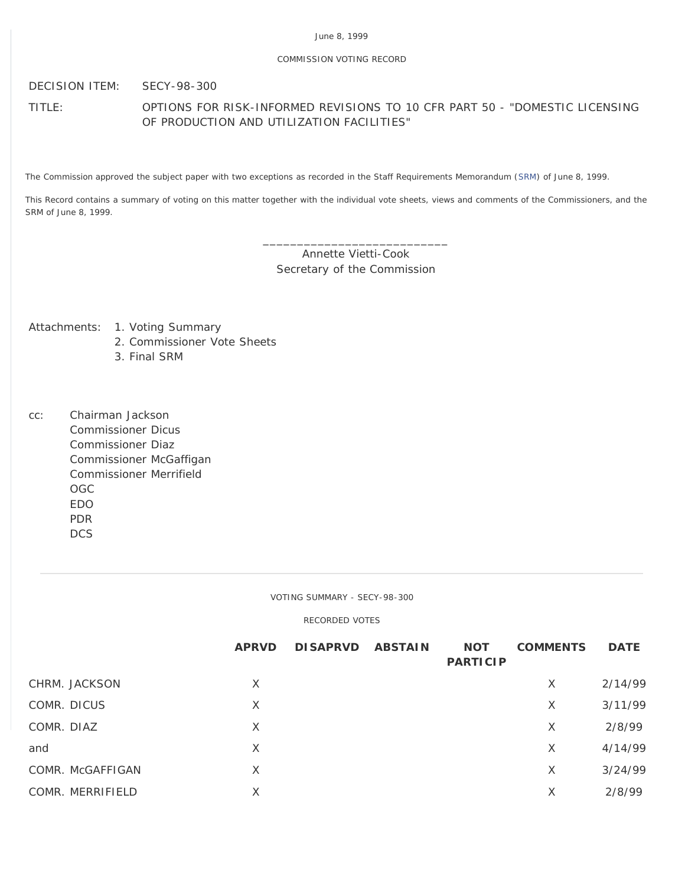## COMMISSION VOTING RECORD

DECISION ITEM: SECY-98-300

TITLE: OPTIONS FOR RISK-INFORMED REVISIONS TO 10 CFR PART 50 - "DOMESTIC LICENSING OF PRODUCTION AND UTILIZATION FACILITIES"

The Commission approved the subject paper with two exceptions as recorded in the Staff Requirements Memorandum [\(SRM](http://www.nrc.gov/reading-rm/doc-collections/commission/srm/1998/1998-300srm.html)) of June 8, 1999.

This Record contains a summary of voting on this matter together with the individual vote sheets, views and comments of the Commissioners, and the SRM of June 8, 1999.

> \_\_\_\_\_\_\_\_\_\_\_\_\_\_\_\_\_\_\_\_\_\_\_\_\_\_\_ Annette Vietti-Cook Secretary of the Commission

Attachments: 1. Voting Summary

- 2. Commissioner Vote Sheets
- 3. Final SRM
- cc: Chairman Jackson Commissioner Dicus Commissioner Diaz Commissioner McGaffigan Commissioner Merrifield OGC EDO PDR DCS

VOTING SUMMARY - SECY-98-300

RECORDED VOTES

|                  | <b>APRVD</b> | <b>DISAPRVD</b> | <b>ABSTAIN</b> | <b>NOT</b><br><b>PARTICIP</b> | <b>COMMENTS</b> | <b>DATE</b> |
|------------------|--------------|-----------------|----------------|-------------------------------|-----------------|-------------|
| CHRM. JACKSON    | X            |                 |                |                               | X               | 2/14/99     |
| COMR. DICUS      | X            |                 |                |                               | X               | 3/11/99     |
| COMR. DIAZ       | X            |                 |                |                               | X               | 2/8/99      |
| and              | X            |                 |                |                               | X               | 4/14/99     |
| COMR. McGAFFIGAN | X            |                 |                |                               | X               | 3/24/99     |
| COMR. MERRIFIELD | Χ            |                 |                |                               | Χ               | 2/8/99      |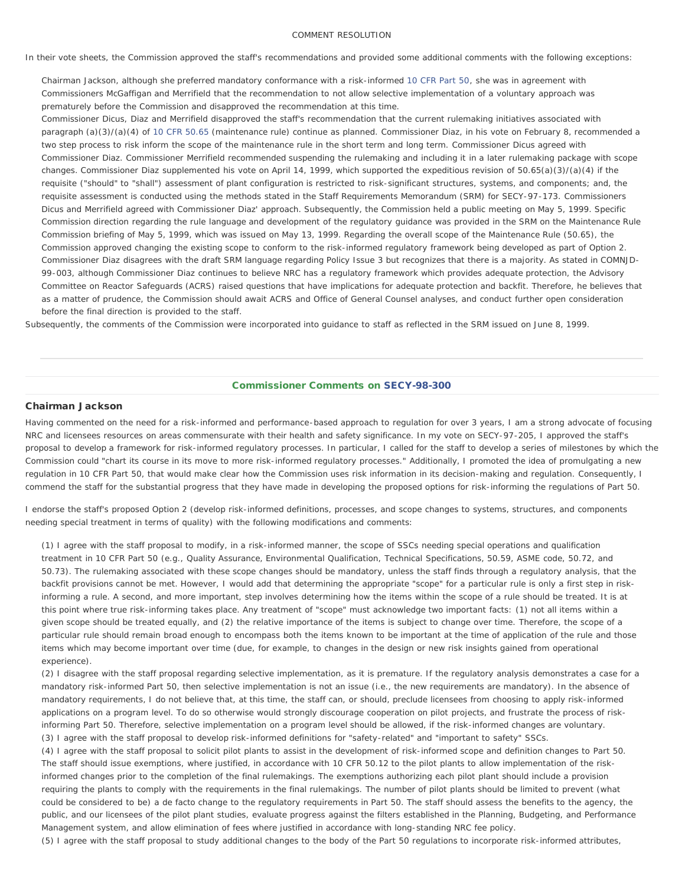#### COMMENT RESOLUTION

In their vote sheets, the Commission approved the staff's recommendations and provided some additional comments with the following exceptions:

Chairman Jackson, although she preferred mandatory conformance with a risk-informed [10 CFR Part 50,](http://www.nrc.gov/reading-rm/doc-collections/cfr/part050/) she was in agreement with Commissioners McGaffigan and Merrifield that the recommendation to not allow selective implementation of a voluntary approach was prematurely before the Commission and disapproved the recommendation at this time.

Commissioner Dicus, Diaz and Merrifield disapproved the staff's recommendation that the current rulemaking initiatives associated with paragraph (a)(3)/(a)(4) of [10 CFR 50.65](http://www.nrc.gov/reading-rm/doc-collections/cfr/part050/part050-0065.html) (maintenance rule) continue as planned. Commissioner Diaz, in his vote on February 8, recommended a two step process to risk inform the scope of the maintenance rule in the short term and long term. Commissioner Dicus agreed with Commissioner Diaz. Commissioner Merrifield recommended suspending the rulemaking and including it in a later rulemaking package with scope changes. Commissioner Diaz supplemented his vote on April 14, 1999, which supported the expeditious revision of 50.65(a)(3)/(a)(4) if the requisite ("should" to "shall") assessment of plant configuration is restricted to risk-significant structures, systems, and components; and, the requisite assessment is conducted using the methods stated in the Staff Requirements Memorandum (SRM) for SECY-97-173. Commissioners Dicus and Merrifield agreed with Commissioner Diaz' approach. Subsequently, the Commission held a public meeting on May 5, 1999. Specific Commission direction regarding the rule language and development of the regulatory guidance was provided in the SRM on the Maintenance Rule Commission briefing of May 5, 1999, which was issued on May 13, 1999. Regarding the overall scope of the Maintenance Rule (50.65), the Commission approved changing the existing scope to conform to the risk-informed regulatory framework being developed as part of Option 2. Commissioner Diaz disagrees with the draft SRM language regarding Policy Issue 3 but recognizes that there is a majority. As stated in COMNJD-99-003, although Commissioner Diaz continues to believe NRC has a regulatory framework which provides adequate protection, the Advisory Committee on Reactor Safeguards (ACRS) raised questions that have implications for adequate protection and backfit. Therefore, he believes that as a matter of prudence, the Commission should await ACRS and Office of General Counsel analyses, and conduct further open consideration before the final direction is provided to the staff.

Subsequently, the comments of the Commission were incorporated into guidance to staff as reflected in the SRM issued on June 8, 1999.

## Commissioner Comments on [SECY-98-300](http://www.nrc.gov/reading-rm/doc-collections/commission/secys/1998/secy1998-300/1998-300scy.html)

# Chairman Jackson

Having commented on the need for a risk-informed and performance-based approach to regulation for over 3 years, I am a strong advocate of focusing NRC and licensees resources on areas commensurate with their health and safety significance. In my vote on SECY-97-205, I approved the staff's proposal to develop a framework for risk-informed regulatory processes. In particular, I called for the staff to develop a series of milestones by which the Commission could "chart its course in its move to more risk-informed regulatory processes." Additionally, I promoted the idea of promulgating a new regulation in 10 CFR Part 50, that would make clear how the Commission uses risk information in its decision-making and regulation. Consequently, I commend the staff for the substantial progress that they have made in developing the proposed options for risk-informing the regulations of Part 50.

I endorse the staff's proposed Option 2 (develop risk-informed definitions, processes, and scope changes to systems, structures, and components needing special treatment in terms of quality) with the following modifications and comments:

(1) I agree with the staff proposal to modify, in a risk-informed manner, the scope of SSCs needing special operations and qualification treatment in 10 CFR Part 50 (e.g., Quality Assurance, Environmental Qualification, Technical Specifications, 50.59, ASME code, 50.72, and 50.73). The rulemaking associated with these scope changes should be mandatory, unless the staff finds through a regulatory analysis, that the backfit provisions cannot be met. However, I would add that determining the appropriate "scope" for a particular rule is only a first step in riskinforming a rule. A second, and more important, step involves determining how the items within the scope of a rule should be treated. It is at this point where true risk-informing takes place. Any treatment of "scope" must acknowledge two important facts: (1) not all items within a given scope should be treated equally, and (2) the relative importance of the items is subject to change over time. Therefore, the scope of a particular rule should remain broad enough to encompass both the items known to be important at the time of application of the rule and those items which may become important over time (due, for example, to changes in the design or new risk insights gained from operational experience).

(2) I disagree with the staff proposal regarding selective implementation, as it is premature. If the regulatory analysis demonstrates a case for a mandatory risk-informed Part 50, then selective implementation is not an issue (i.e., the new requirements are mandatory). In the absence of mandatory requirements, I do not believe that, at this time, the staff can, or should, preclude licensees from choosing to apply risk-informed applications on a program level. To do so otherwise would strongly discourage cooperation on pilot projects, and frustrate the process of riskinforming Part 50. Therefore, selective implementation on a program level should be allowed, if the risk-informed changes are voluntary. (3) I agree with the staff proposal to develop risk-informed definitions for "safety-related" and "important to safety" SSCs.

(4) I agree with the staff proposal to solicit pilot plants to assist in the development of risk-informed scope and definition changes to Part 50. The staff should issue exemptions, where justified, in accordance with 10 CFR 50.12 to the pilot plants to allow implementation of the riskinformed changes prior to the completion of the final rulemakings. The exemptions authorizing each pilot plant should include a provision requiring the plants to comply with the requirements in the final rulemakings. The number of pilot plants should be limited to prevent (what could be considered to be) a *de facto* change to the regulatory requirements in Part 50. The staff should assess the benefits to the agency, the public, and our licensees of the pilot plant studies, evaluate progress against the filters established in the Planning, Budgeting, and Performance Management system, and allow elimination of fees where justified in accordance with long-standing NRC fee policy.

(5) I agree with the staff proposal to study additional changes to the body of the Part 50 regulations to incorporate risk-informed attributes,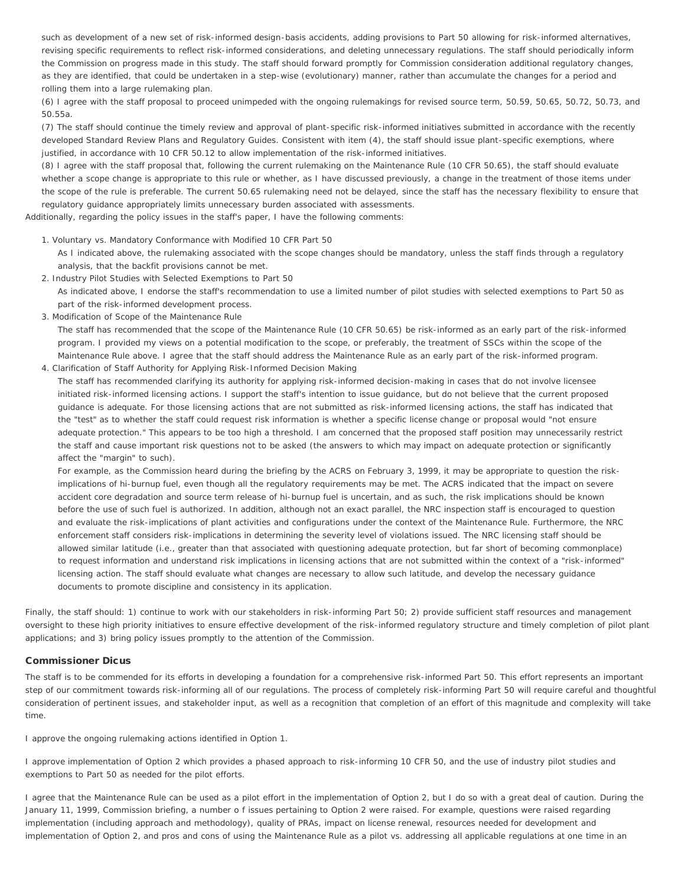such as development of a new set of risk-informed design-basis accidents, adding provisions to Part 50 allowing for risk-informed alternatives, revising specific requirements to reflect risk-informed considerations, and deleting unnecessary regulations. The staff should periodically inform the Commission on progress made in this study. The staff should forward promptly for Commission consideration additional regulatory changes, as they are identified, that could be undertaken in a step-wise (evolutionary) manner, rather than accumulate the changes for a period and rolling them into a large rulemaking plan.

(6) I agree with the staff proposal to proceed unimpeded with the ongoing rulemakings for revised source term, 50.59, 50.65, 50.72, 50.73, and 50.55a.

(7) The staff should continue the timely review and approval of plant-specific risk-informed initiatives submitted in accordance with the recently developed Standard Review Plans and Regulatory Guides. Consistent with item (4), the staff should issue plant-specific exemptions, where justified, in accordance with 10 CFR 50.12 to allow implementation of the risk-informed initiatives.

(8) I agree with the staff proposal that, following the current rulemaking on the Maintenance Rule (10 CFR 50.65), the staff should evaluate whether a scope change is appropriate to this rule or whether, as I have discussed previously, a change in the treatment of those items under the scope of the rule is preferable. The current 50.65 rulemaking need not be delayed, since the staff has the necessary flexibility to ensure that regulatory guidance appropriately limits unnecessary burden associated with assessments.

Additionally, regarding the policy issues in the staff's paper, I have the following comments:

1. *Voluntary vs. Mandatory Conformance with Modified 10 CFR Part 50*

As I indicated above, the rulemaking associated with the scope changes should be mandatory, unless the staff finds through a regulatory analysis, that the backfit provisions cannot be met.

2. *Industry Pilot Studies with Selected Exemptions to Part 50*

As indicated above, I endorse the staff's recommendation to use a limited number of pilot studies with selected exemptions to Part 50 as part of the risk-informed development process.

3. *Modification of Scope of the Maintenance Rule*

The staff has recommended that the scope of the Maintenance Rule (10 CFR 50.65) be risk-informed as an early part of the risk-informed program. I provided my views on a potential modification to the scope, or preferably, the treatment of SSCs within the scope of the Maintenance Rule above. I agree that the staff should address the Maintenance Rule as an early part of the risk-informed program.

4. *Clarification of Staff Authority for Applying Risk-Informed Decision Making*

The staff has recommended clarifying its authority for applying risk-informed decision-making in cases that do not involve licensee initiated risk-informed licensing actions. I support the staff's intention to issue guidance, but do not believe that the current proposed guidance is adequate. For those licensing actions that are not submitted as risk-informed licensing actions, the staff has indicated that the "test" as to whether the staff could request risk information is whether a specific license change or proposal would "not ensure adequate protection." This appears to be too high a threshold. I am concerned that the proposed staff position may unnecessarily restrict the staff and cause important risk questions not to be asked (the answers to which may impact on adequate protection or significantly affect the "margin" to such).

For example, as the Commission heard during the briefing by the ACRS on February 3, 1999, it may be appropriate to question the riskimplications of hi-burnup fuel, even though all the regulatory requirements may be met. The ACRS indicated that the impact on severe accident core degradation and source term release of hi-burnup fuel is uncertain, and as such, the risk implications should be known before the use of such fuel is authorized. In addition, although not an exact parallel, the NRC inspection staff is encouraged to question and evaluate the risk-implications of plant activities and configurations under the context of the Maintenance Rule. Furthermore, the NRC enforcement staff considers risk-implications in determining the severity level of violations issued. The NRC licensing staff should be allowed similar latitude (i.e., greater than that associated with questioning adequate protection, but far short of becoming commonplace) to request information and understand risk implications in licensing actions that are not submitted within the context of a "risk-informed" licensing action. The staff should evaluate what changes are necessary to allow such latitude, and develop the necessary guidance documents to promote discipline and consistency in its application.

Finally, the staff should: 1) continue to work with our stakeholders in risk-informing Part 50; 2) provide sufficient staff resources and management oversight to these high priority initiatives to ensure effective development of the risk-informed regulatory structure and timely completion of pilot plant applications; and 3) bring policy issues promptly to the attention of the Commission.

#### Commissioner Dicus

The staff is to be commended for its efforts in developing a foundation for a comprehensive risk-informed Part 50. This effort represents an important step of our commitment towards risk-informing all of our regulations. The process of completely risk-informing Part 50 will require careful and thoughtful consideration of pertinent issues, and stakeholder input, as well as a recognition that completion of an effort of this magnitude and complexity will take time.

I approve the ongoing rulemaking actions identified in Option 1.

I approve implementation of Option 2 which provides a phased approach to risk-informing 10 CFR 50, and the use of industry pilot studies and exemptions to Part 50 as needed for the pilot efforts.

I agree that the Maintenance Rule can be used as a pilot effort in the implementation of Option 2, but I do so with a great deal of caution. During the January 11, 1999, Commission briefing, a number o f issues pertaining to Option 2 were raised. For example, questions were raised regarding implementation (including approach and methodology), quality of PRAs, impact on license renewal, resources needed for development and implementation of Option 2, and pros and cons of using the Maintenance Rule as a pilot vs. addressing all applicable regulations at one time in an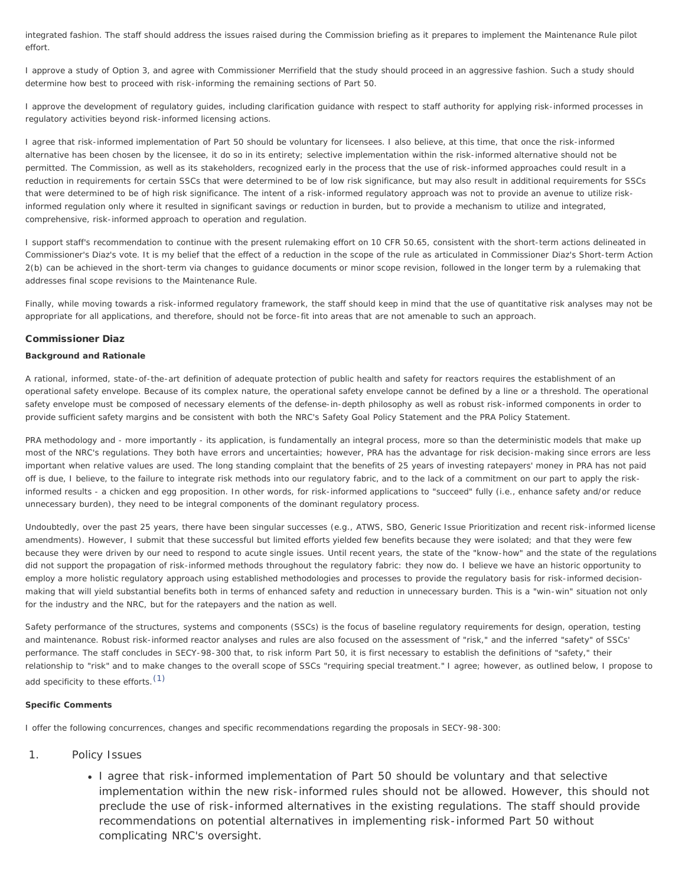integrated fashion. The staff should address the issues raised during the Commission briefing as it prepares to implement the Maintenance Rule pilot effort.

I approve a study of Option 3, and agree with Commissioner Merrifield that the study should proceed in an aggressive fashion. Such a study should determine how best to proceed with risk-informing the remaining sections of Part 50.

I approve the development of regulatory guides, including clarification guidance with respect to staff authority for applying risk-informed processes in regulatory activities beyond risk-informed licensing actions.

I agree that risk-informed implementation of Part 50 should be voluntary for licensees. I also believe, at this time, that once the risk-informed alternative has been chosen by the licensee, it do so in its entirety; selective implementation within the risk-informed alternative should not be permitted. The Commission, as well as its stakeholders, recognized early in the process that the use of risk-informed approaches could result in a reduction in requirements for certain SSCs that were determined to be of low risk significance, but may also result in additional requirements for SSCs that were determined to be of high risk significance. The intent of a risk-informed regulatory approach was not to provide an avenue to utilize riskinformed regulation only where it resulted in significant savings or reduction in burden, but to provide a mechanism to utilize and integrated, comprehensive, risk-informed approach to operation and regulation.

I support staff's recommendation to continue with the present rulemaking effort on 10 CFR 50.65, consistent with the short-term actions delineated in Commissioner's Diaz's vote. It is my belief that the effect of a reduction in the scope of the rule as articulated in Commissioner Diaz's Short-term Action 2(b) can be achieved in the short-term via changes to guidance documents or minor scope revision, followed in the longer term by a rulemaking that addresses final scope revisions to the Maintenance Rule.

Finally, while moving towards a risk-informed regulatory framework, the staff should keep in mind that the use of quantitative risk analyses may not be appropriate for all applications, and therefore, should not be force-fit into areas that are not amenable to such an approach.

## Commissioner Diaz

## **Background and Rationale**

A rational, informed, state-of-the-art definition of adequate protection of public health and safety for reactors requires the establishment of an operational safety envelope. Because of its complex nature, the operational safety envelope cannot be defined by a line or a threshold. The operational safety envelope must be composed of necessary elements of the defense-in-depth philosophy as well as robust risk-informed components in order to provide sufficient safety margins and be consistent with both the NRC's Safety Goal Policy Statement and the PRA Policy Statement.

PRA methodology and - more importantly - its application, is fundamentally an integral process, more so than the deterministic models that make up most of the NRC's regulations. They both have errors and uncertainties; however, PRA has the advantage for risk decision-making since errors are less important when relative values are used. The long standing complaint that the benefits of 25 years of investing ratepayers' money in PRA has not paid off is due, I believe, to the failure to integrate risk methods into our regulatory fabric, and to the lack of a commitment on our part to apply the riskinformed results - a chicken and egg proposition. In other words, for risk-informed applications to "succeed" fully (i.e., enhance safety and/or reduce unnecessary burden), they need to be integral components of the dominant regulatory process.

Undoubtedly, over the past 25 years, there have been singular successes (e.g., ATWS, SBO, Generic Issue Prioritization and recent risk-informed license amendments). However, I submit that these successful but limited efforts yielded few benefits because they were isolated; and that they were few because they were driven by our need to respond to acute single issues. Until recent years, the state of the "know-how" and the state of the regulations did not support the propagation of risk-informed methods throughout the regulatory fabric: they now do. I believe we have an historic opportunity to employ a more holistic regulatory approach using established methodologies and processes to provide the regulatory basis for risk-informed decisionmaking that will yield substantial benefits both in terms of enhanced safety and reduction in unnecessary burden. This is a "win-win" situation not only for the industry and the NRC, but for the ratepayers and the nation as well.

Safety performance of the structures, systems and components (SSCs) is the focus of baseline regulatory requirements for design, operation, testing and maintenance. Robust risk-informed reactor analyses and rules are also focused on the assessment of "risk," and the inferred "safety" of SSCs' performance. The staff concludes in SECY-98-300 that, to risk inform Part 50, it is first necessary to establish the definitions of "safety," their relationship to "risk" and to make changes to the overall scope of SSCs "requiring special treatment." I agree; however, as outlined below, I propose to add specificity to these efforts.[\(1\)](#page-8-0)

#### **Specific Comments**

I offer the following concurrences, changes and specific recommendations regarding the proposals in SECY-98-300:

- 1. Policy Issues
	- I agree that risk-informed implementation of Part 50 should be voluntary and that selective implementation within the new risk-informed rules should not be allowed. However, this should not preclude the use of risk-informed alternatives in the existing regulations. The staff should provide recommendations on potential alternatives in implementing risk-informed Part 50 without complicating NRC's oversight.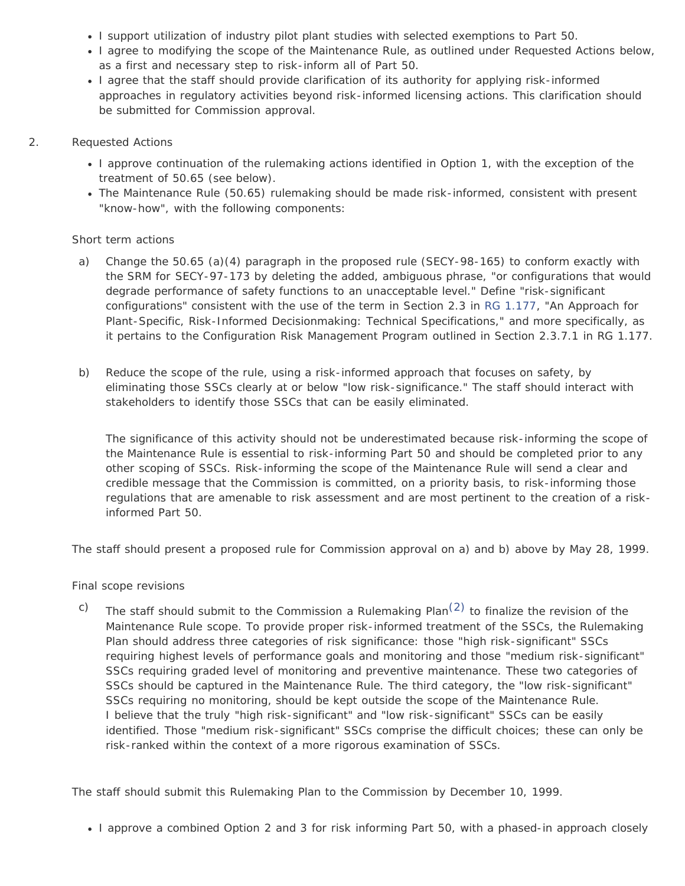- I support utilization of industry pilot plant studies with selected exemptions to Part 50.
- I agree to modifying the scope of the Maintenance Rule, as outlined under Requested Actions below, as a first and necessary step to risk-inform all of Part 50.
- I agree that the staff should provide clarification of its authority for applying risk-informed approaches in regulatory activities beyond risk-informed licensing actions. This clarification should be submitted for Commission approval.
- 2. Requested Actions
	- I approve continuation of the rulemaking actions identified in Option 1, with the exception of the treatment of 50.65 (see below).
	- The Maintenance Rule (50.65) rulemaking should be made risk-informed, consistent with present "know-how", with the following components:

# Short term actions

- a) Change the 50.65 (a)(4) paragraph in the proposed rule (SECY-98-165) to conform exactly with the SRM for SECY-97-173 by deleting the added, ambiguous phrase, "or configurations that would degrade performance of safety functions to an unacceptable level." Define "risk-significant configurations" consistent with the use of the term in Section 2.3 in [RG 1.177](http://adamswebsearch.nrc.gov/idmws/ViewDocByAccession.asp?AccessionNumber=ML003740176), "An Approach for Plant-Specific, Risk-Informed Decisionmaking: Technical Specifications," and more specifically, as it pertains to the Configuration Risk Management Program outlined in Section 2.3.7.1 in RG 1.177.
- b) Reduce the scope of the rule, using a risk-informed approach that focuses on safety, by eliminating those SSCs clearly at or below "low risk-significance." The staff should interact with stakeholders to identify those SSCs that can be easily eliminated.

The significance of this activity should not be underestimated because risk-informing the scope of the Maintenance Rule is essential to risk-informing Part 50 and should be completed prior to any other scoping of SSCs. Risk-informing the scope of the Maintenance Rule will send a clear and credible message that the Commission is committed, on a priority basis, to risk-informing those regulations that are amenable to risk assessment and are most pertinent to the creation of a riskinformed Part 50.

The staff should present a proposed rule for Commission approval on a) and b) above by May 28, 1999.

Final scope revisions

<sup>c</sup>) The staff should submit to the Commission a Rulemaking Plan<sup>[\(2\)](#page-8-1)</sup> to finalize the revision of the Maintenance Rule scope. To provide proper risk-informed treatment of the SSCs, the Rulemaking Plan should address three categories of risk significance: those "high risk-significant" SSCs requiring highest levels of performance goals and monitoring and those "medium risk-significant" SSCs requiring graded level of monitoring and preventive maintenance. These two categories of SSCs should be captured in the Maintenance Rule. The third category, the "low risk-significant" SSCs requiring no monitoring, should be kept outside the scope of the Maintenance Rule. I believe that the truly "high risk-significant" and "low risk-significant" SSCs can be easily identified. Those "medium risk-significant" SSCs comprise the difficult choices; these can only be risk-ranked within the context of a more rigorous examination of SSCs.

The staff should submit this Rulemaking Plan to the Commission by December 10, 1999.

I approve a combined Option 2 and 3 for risk informing Part 50, with a phased-in approach closely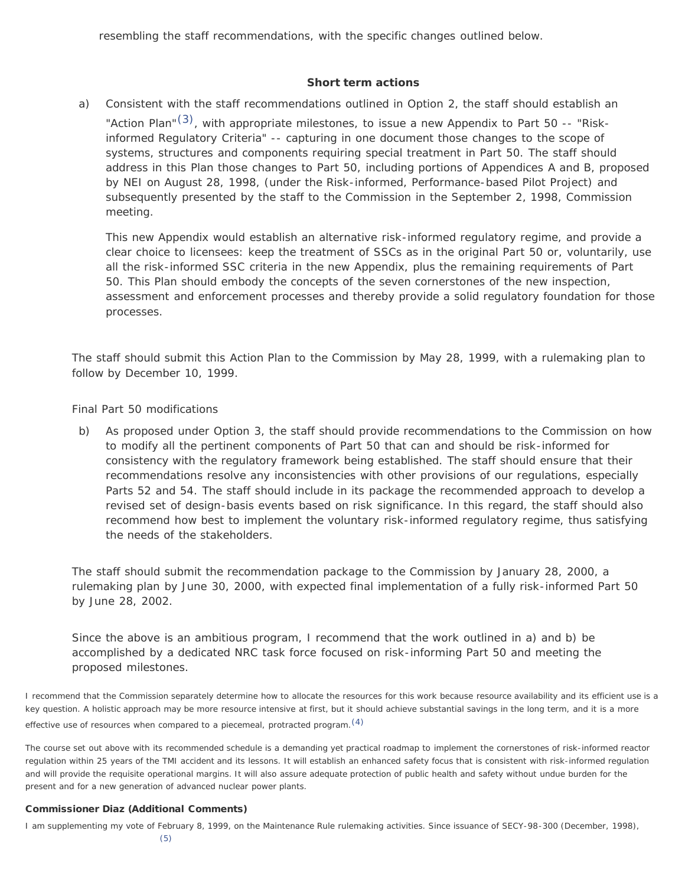resembling the staff recommendations, with the specific changes outlined below.

# **Short term actions**

a) Consistent with the staff recommendations outlined in Option 2, the staff should establish an "Action Plan"<sup>(3)</sup>, with appropriate milestones, to issue a new Appendix to Part 50 -- "Riskinformed Regulatory Criteria" -- capturing in one document those changes to the scope of systems, structures and components requiring special treatment in Part 50. The staff should address in this Plan those changes to Part 50, including portions of Appendices A and B, proposed by NEI on August 28, 1998, (under the Risk-informed, Performance-based Pilot Project) and subsequently presented by the staff to the Commission in the September 2, 1998, Commission meeting.

This new Appendix would establish an alternative risk-informed regulatory regime, and provide a clear choice to licensees: keep the treatment of SSCs as in the original Part 50 or, voluntarily, use all the risk-informed SSC criteria in the new Appendix, plus the remaining requirements of Part 50. This Plan should embody the concepts of the seven cornerstones of the new inspection, assessment and enforcement processes and thereby provide a solid regulatory foundation for those processes.

The staff should submit this Action Plan to the Commission by May 28, 1999, with a rulemaking plan to follow by December 10, 1999.

Final Part 50 modifications

b) As proposed under Option 3, the staff should provide recommendations to the Commission on how to modify all the pertinent components of Part 50 that can and should be risk-informed for consistency with the regulatory framework being established. The staff should ensure that their recommendations resolve any inconsistencies with other provisions of our regulations, especially Parts 52 and 54. The staff should include in its package the recommended approach to develop a revised set of design-basis events based on risk significance. In this regard, the staff should also recommend how best to implement the voluntary risk-informed regulatory regime, thus satisfying the needs of the stakeholders.

The staff should submit the recommendation package to the Commission by January 28, 2000, a rulemaking plan by June 30, 2000, with expected final implementation of a fully risk-informed Part 50 by June 28, 2002.

Since the above is an ambitious program, I recommend that the work outlined in a) and b) be accomplished by a dedicated NRC task force focused on risk-informing Part 50 and meeting the proposed milestones.

I recommend that the Commission separately determine how to allocate the resources for this work because resource availability and its efficient use is a key question. A holistic approach may be more resource intensive at first, but it should achieve substantial savings in the long term, and it is a more effective use of resources when compared to a piecemeal, protracted program. <sup>[\(4\)](#page-8-3)</sup>

The course set out above with its recommended schedule is a demanding yet practical roadmap to implement the cornerstones of risk-informed reactor regulation within 25 years of the TMI accident and its lessons. It will establish an enhanced safety focus that is consistent with risk-informed regulation and will provide the requisite operational margins. It will also assure adequate protection of public health and safety without undue burden for the present and for a new generation of advanced nuclear power plants.

# Commissioner Diaz (Additional Comments)

I am supplementing my vote of February 8, 1999, on the Maintenance Rule rulemaking activities. Since issuance of SECY-98-300 (December, 1998),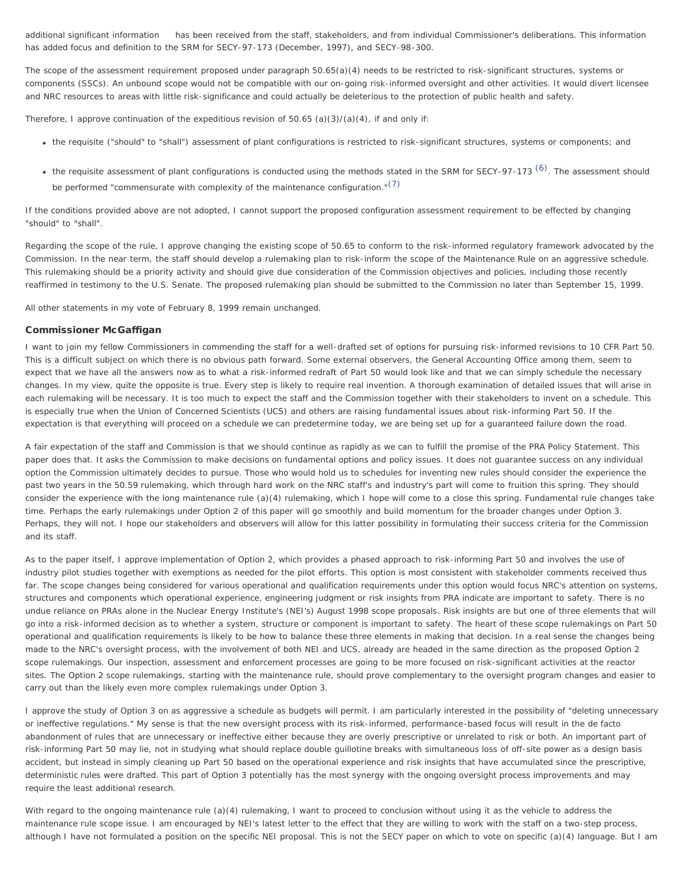additional significant information has been received from the staff, stakeholders, and from individual Commissioner's deliberations. This information has added focus and definition to the SRM for SECY-97-173 (December, 1997), and SECY-98-300.

The scope of the assessment requirement proposed under paragraph 50.65(a)(4) needs to be restricted to risk-significant structures, systems or components (SSCs). An unbound scope would not be compatible with our on-going risk-informed oversight and other activities. It would divert licensee and NRC resources to areas with little risk-significance and could actually be deleterious to the protection of public health and safety.

Therefore, I approve continuation of the expeditious revision of  $50.65$  (a)(3)/(a)(4), if and only if:

- the requisite ("should" to "shall") assessment of plant configurations is restricted to risk-significant structures, systems or components; and
- the requisite assessment of plant configurations is conducted using the methods stated in the SRM for SECY-97-173 <sup>[\(6\)](#page-8-5)</sup>. The assessment should be performed "commensurate with complexity of the maintenance configuration." $(7)$

If the conditions provided above are not adopted, I cannot support the proposed configuration assessment requirement to be effected by changing "should" to "shall".

Regarding the scope of the rule, I approve changing the existing scope of 50.65 to conform to the risk-informed regulatory framework advocated by the Commission. In the near term, the staff should develop a rulemaking plan to risk-inform the scope of the Maintenance Rule on an aggressive schedule. This rulemaking should be a priority activity and should give due consideration of the Commission objectives and policies, including those recently reaffirmed in testimony to the U.S. Senate. The proposed rulemaking plan should be submitted to the Commission no later than September 15, 1999.

All other statements in my vote of February 8, 1999 remain unchanged.

## Commissioner McGaffigan

I want to join my fellow Commissioners in commending the staff for a well-drafted set of options for pursuing risk-informed revisions to 10 CFR Part 50. This is a difficult subject on which there is no obvious path forward. Some external observers, the General Accounting Office among them, seem to expect that we have all the answers now as to what a risk-informed redraft of Part 50 would look like and that we can simply schedule the necessary changes. In my view, quite the opposite is true. Every step is likely to require real invention. A thorough examination of detailed issues that will arise in each rulemaking will be necessary. It is too much to expect the staff and the Commission together with their stakeholders to invent on a schedule. This is especially true when the Union of Concerned Scientists (UCS) and others are raising fundamental issues about risk-informing Part 50. If the expectation is that everything will proceed on a schedule we can predetermine today, we are being set up for a guaranteed failure down the road.

A fair expectation of the staff and Commission is that we should continue as rapidly as we can to fulfill the promise of the PRA Policy Statement. This paper does that. It asks the Commission to make decisions on fundamental options and policy issues. It does not guarantee success on any individual option the Commission ultimately decides to pursue. Those who would hold us to schedules for inventing new rules should consider the experience the past two years in the 50.59 rulemaking, which through hard work on the NRC staff's and industry's part will come to fruition this spring. They should consider the experience with the long maintenance rule (a)(4) rulemaking, which I hope will come to a close this spring. Fundamental rule changes take time. Perhaps the early rulemakings under Option 2 of this paper will go smoothly and build momentum for the broader changes under Option 3. Perhaps, they will not. I hope our stakeholders and observers will allow for this latter possibility in formulating their success criteria for the Commission and its staff.

As to the paper itself, I approve implementation of Option 2, which provides a phased approach to risk-informing Part 50 and involves the use of industry pilot studies together with exemptions as needed for the pilot efforts. This option is most consistent with stakeholder comments received thus far. The scope changes being considered for various operational and qualification requirements under this option would focus NRC's attention on systems, structures and components which operational experience, engineering judgment or risk insights from PRA indicate are important to safety. There is no undue reliance on PRAs alone in the Nuclear Energy Institute's (NEI's) August 1998 scope proposals. Risk insights are but one of three elements that will go into a risk-informed decision as to whether a system, structure or component is important to safety. The heart of these scope rulemakings on Part 50 operational and qualification requirements is likely to be how to balance these three elements in making that decision. In a real sense the changes being made to the NRC's oversight process, with the involvement of both NEI and UCS, already are headed in the same direction as the proposed Option 2 scope rulemakings. Our inspection, assessment and enforcement processes are going to be more focused on risk-significant activities at the reactor sites. The Option 2 scope rulemakings, starting with the maintenance rule, should prove complementary to the oversight program changes and easier to carry out than the likely even more complex rulemakings under Option 3.

I approve the study of Option 3 on as aggressive a schedule as budgets will permit. I am particularly interested in the possibility of "deleting unnecessary or ineffective regulations." My sense is that the new oversight process with its risk-informed, performance-based focus will result in the de facto abandonment of rules that are unnecessary or ineffective either because they are overly prescriptive or unrelated to risk or both. An important part of risk-informing Part 50 may lie, not in studying what should replace double guillotine breaks with simultaneous loss of off-site power as a design basis accident, but instead in simply cleaning up Part 50 based on the operational experience and risk insights that have accumulated since the prescriptive, deterministic rules were drafted. This part of Option 3 potentially has the most synergy with the ongoing oversight process improvements and may require the least additional research.

With regard to the ongoing maintenance rule (a)(4) rulemaking, I want to proceed to conclusion without using it as the vehicle to address the maintenance rule scope issue. I am encouraged by NEI's latest letter to the effect that they are willing to work with the staff on a two-step process, although I have not formulated a position on the specific NEI proposal. This is not the SECY paper on which to vote on specific (a)(4) language. But I am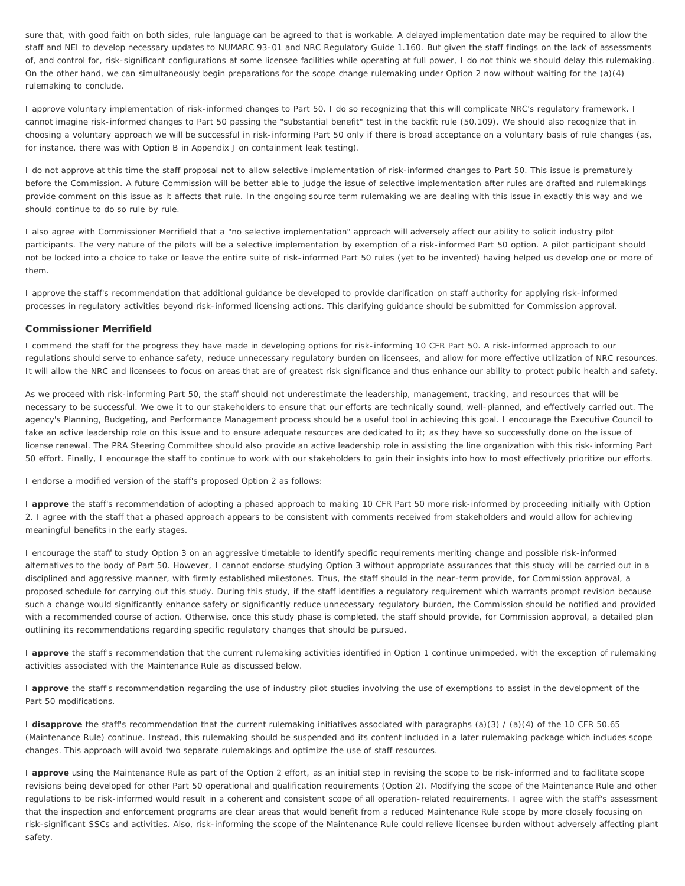sure that, with good faith on both sides, rule language can be agreed to that is workable. A delayed implementation date may be required to allow the staff and NEI to develop necessary updates to NUMARC 93-01 and NRC Regulatory Guide 1.160. But given the staff findings on the lack of assessments of, and control for, risk-significant configurations at some licensee facilities while operating at full power, I do not think we should delay this rulemaking. On the other hand, we can simultaneously begin preparations for the scope change rulemaking under Option 2 now without waiting for the (a)(4) rulemaking to conclude.

I approve voluntary implementation of risk-informed changes to Part 50. I do so recognizing that this will complicate NRC's regulatory framework. I cannot imagine risk-informed changes to Part 50 passing the "substantial benefit" test in the backfit rule (50.109). We should also recognize that in choosing a voluntary approach we will be successful in risk-informing Part 50 only if there is broad acceptance on a voluntary basis of rule changes (as, for instance, there was with Option B in Appendix J on containment leak testing).

I do not approve at this time the staff proposal not to allow selective implementation of risk-informed changes to Part 50. This issue is prematurely before the Commission. A future Commission will be better able to judge the issue of selective implementation after rules are drafted and rulemakings provide comment on this issue as it affects that rule. In the ongoing source term rulemaking we are dealing with this issue in exactly this way and we should continue to do so rule by rule.

I also agree with Commissioner Merrifield that a "no selective implementation" approach will adversely affect our ability to solicit industry pilot participants. The very nature of the pilots will be a selective implementation by exemption of a risk-informed Part 50 option. A pilot participant should not be locked into a choice to take or leave the entire suite of risk-informed Part 50 rules (yet to be invented) having helped us develop one or more of them.

I approve the staff's recommendation that additional guidance be developed to provide clarification on staff authority for applying risk-informed processes in regulatory activities beyond risk-informed licensing actions. This clarifying guidance should be submitted for Commission approval.

## Commissioner Merrifield

I commend the staff for the progress they have made in developing options for risk-informing 10 CFR Part 50. A risk-informed approach to our regulations should serve to enhance safety, reduce unnecessary regulatory burden on licensees, and allow for more effective utilization of NRC resources. It will allow the NRC and licensees to focus on areas that are of greatest risk significance and thus enhance our ability to protect public health and safety.

As we proceed with risk-informing Part 50, the staff should not underestimate the leadership, management, tracking, and resources that will be necessary to be successful. We owe it to our stakeholders to ensure that our efforts are technically sound, well-planned, and effectively carried out. The agency's Planning, Budgeting, and Performance Management process should be a useful tool in achieving this goal. I encourage the Executive Council to take an active leadership role on this issue and to ensure adequate resources are dedicated to it; as they have so successfully done on the issue of license renewal. The PRA Steering Committee should also provide an active leadership role in assisting the line organization with this risk-informing Part 50 effort. Finally, I encourage the staff to continue to work with our stakeholders to gain their insights into how to most effectively prioritize our efforts.

I endorse a modified version of the staff's proposed Option 2 as follows:

I approve the staff's recommendation of adopting a phased approach to making 10 CFR Part 50 more risk-informed by proceeding initially with Option 2. I agree with the staff that a phased approach appears to be consistent with comments received from stakeholders and would allow for achieving meaningful benefits in the early stages.

I encourage the staff to study Option 3 on an aggressive timetable to identify specific requirements meriting change and possible risk-informed alternatives to the body of Part 50. However, I cannot endorse studying Option 3 without appropriate assurances that this study will be carried out in a disciplined and aggressive manner, with firmly established milestones. Thus, the staff should in the near-term provide, for Commission approval, a proposed schedule for carrying out this study. During this study, if the staff identifies a regulatory requirement which warrants prompt revision because such a change would significantly enhance safety or significantly reduce unnecessary regulatory burden, the Commission should be notified and provided with a recommended course of action. Otherwise, once this study phase is completed, the staff should provide, for Commission approval, a detailed plan outlining its recommendations regarding specific regulatory changes that should be pursued.

I approve the staff's recommendation that the current rulemaking activities identified in Option 1 continue unimpeded, with the exception of rulemaking activities associated with the Maintenance Rule as discussed below.

I **approve** the staff's recommendation regarding the use of industry pilot studies involving the use of exemptions to assist in the development of the Part 50 modifications.

I **disapprove** the staff's recommendation that the current rulemaking initiatives associated with paragraphs (a)(3) / (a)(4) of the 10 CFR 50.65 (Maintenance Rule) continue. Instead, this rulemaking should be suspended and its content included in a later rulemaking package which includes scope changes. This approach will avoid two separate rulemakings and optimize the use of staff resources.

I **approve** using the Maintenance Rule as part of the Option 2 effort, as an initial step in revising the scope to be risk-informed and to facilitate scope revisions being developed for other Part 50 operational and qualification requirements (Option 2). Modifying the scope of the Maintenance Rule and other regulations to be risk-informed would result in a coherent and consistent scope of all operation-related requirements. I agree with the staff's assessment that the inspection and enforcement programs are clear areas that would benefit from a reduced Maintenance Rule scope by more closely focusing on risk-significant SSCs and activities. Also, risk-informing the scope of the Maintenance Rule could relieve licensee burden without adversely affecting plant safety.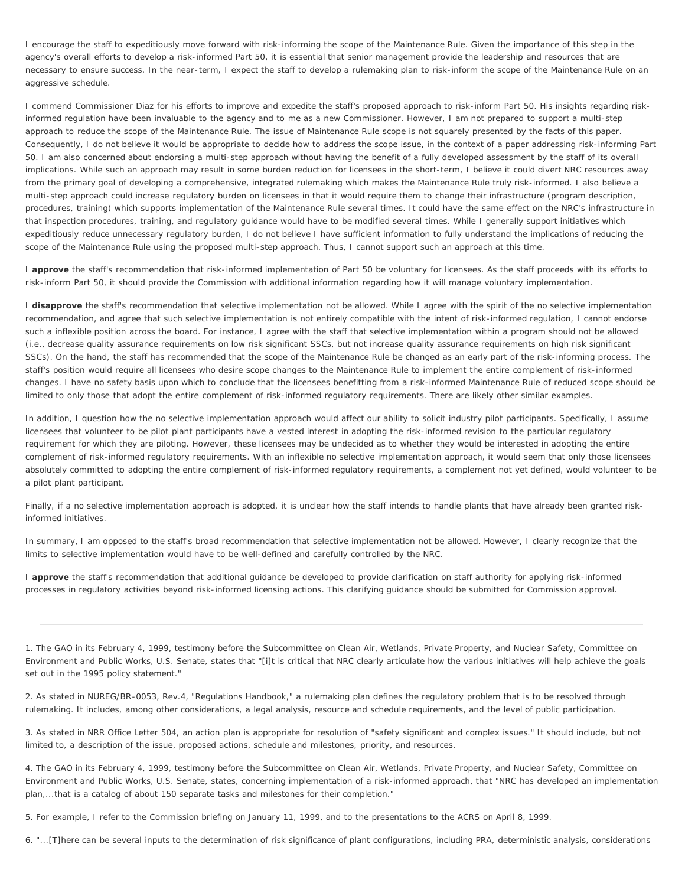I encourage the staff to expeditiously move forward with risk-informing the scope of the Maintenance Rule. Given the importance of this step in the agency's overall efforts to develop a risk-informed Part 50, it is essential that senior management provide the leadership and resources that are necessary to ensure success. In the near-term, I expect the staff to develop a rulemaking plan to risk-inform the scope of the Maintenance Rule on an aggressive schedule.

I commend Commissioner Diaz for his efforts to improve and expedite the staff's proposed approach to risk-inform Part 50. His insights regarding riskinformed regulation have been invaluable to the agency and to me as a new Commissioner. However, I am not prepared to support a multi-step approach to reduce the scope of the Maintenance Rule. The issue of Maintenance Rule scope is not squarely presented by the facts of this paper. Consequently, I do not believe it would be appropriate to decide how to address the scope issue, in the context of a paper addressing risk-informing Part 50. I am also concerned about endorsing a multi-step approach without having the benefit of a fully developed assessment by the staff of its overall implications. While such an approach may result in some burden reduction for licensees in the short-term, I believe it could divert NRC resources away from the primary goal of developing a comprehensive, integrated rulemaking which makes the Maintenance Rule truly risk-informed. I also believe a multi-step approach could increase regulatory burden on licensees in that it would require them to change their infrastructure (program description, procedures, training) which supports implementation of the Maintenance Rule several times. It could have the same effect on the NRC's infrastructure in that inspection procedures, training, and regulatory guidance would have to be modified several times. While I generally support initiatives which expeditiously reduce unnecessary regulatory burden, I do not believe I have sufficient information to fully understand the implications of reducing the scope of the Maintenance Rule using the proposed multi-step approach. Thus, I cannot support such an approach at this time.

I approve the staff's recommendation that risk-informed implementation of Part 50 be voluntary for licensees. As the staff proceeds with its efforts to risk-inform Part 50, it should provide the Commission with additional information regarding how it will manage voluntary implementation.

I disapprove the staff's recommendation that selective implementation not be allowed. While I agree with the spirit of the no selective implementation recommendation, and agree that such selective implementation is not entirely compatible with the intent of risk-informed regulation, I cannot endorse such a inflexible position across the board. For instance, I agree with the staff that selective implementation within a program should not be allowed (i.e., decrease quality assurance requirements on low risk significant SSCs, but not increase quality assurance requirements on high risk significant SSCs). On the hand, the staff has recommended that the scope of the Maintenance Rule be changed as an early part of the risk-informing process. The staff's position would require all licensees who desire scope changes to the Maintenance Rule to implement the entire complement of risk-informed changes. I have no safety basis upon which to conclude that the licensees benefitting from a risk-informed Maintenance Rule of reduced scope should be limited to only those that adopt the entire complement of risk-informed regulatory requirements. There are likely other similar examples.

In addition, I question how the no selective implementation approach would affect our ability to solicit industry pilot participants. Specifically, I assume licensees that volunteer to be pilot plant participants have a vested interest in adopting the risk-informed revision to the particular regulatory requirement for which they are piloting. However, these licensees may be undecided as to whether they would be interested in adopting the entire complement of risk-informed regulatory requirements. With an inflexible no selective implementation approach, it would seem that only those licensees absolutely committed to adopting the entire complement of risk-informed regulatory requirements, a complement not yet defined, would volunteer to be a pilot plant participant.

Finally, if a no selective implementation approach is adopted, it is unclear how the staff intends to handle plants that have already been granted riskinformed initiatives.

In summary, I am opposed to the staff's broad recommendation that selective implementation not be allowed. However, I clearly recognize that the limits to selective implementation would have to be well-defined and carefully controlled by the NRC.

I approve the staff's recommendation that additional guidance be developed to provide clarification on staff authority for applying risk-informed processes in regulatory activities beyond risk-informed licensing actions. This clarifying guidance should be submitted for Commission approval.

<span id="page-8-0"></span>1. The GAO in its February 4, 1999, testimony before the Subcommittee on Clean Air, Wetlands, Private Property, and Nuclear Safety, Committee on Environment and Public Works, U.S. Senate, states that "[i]t is critical that NRC clearly articulate how the various initiatives will help achieve the goals set out in the 1995 policy statement."

<span id="page-8-1"></span>2. As stated in NUREG/BR-0053, Rev.4, "Regulations Handbook," a rulemaking plan defines the regulatory problem that is to be resolved through rulemaking. It includes, among other considerations, a legal analysis, resource and schedule requirements, and the level of public participation.

<span id="page-8-2"></span>3. As stated in NRR Office Letter 504, an action plan is appropriate for resolution of "safety significant and complex issues." It should include, but not limited to, a description of the issue, proposed actions, schedule and milestones, priority, and resources.

<span id="page-8-3"></span>4. The GAO in its February 4, 1999, testimony before the Subcommittee on Clean Air, Wetlands, Private Property, and Nuclear Safety, Committee on Environment and Public Works, U.S. Senate, states, concerning implementation of a risk-informed approach, that "NRC has developed an implementation plan,...that is a catalog of about 150 separate tasks and milestones for their completion."

<span id="page-8-4"></span>5. For example, I refer to the Commission briefing on January 11, 1999, and to the presentations to the ACRS on April 8, 1999.

<span id="page-8-5"></span>6. "...[T]here can be several inputs to the determination of risk significance of plant configurations, including PRA, deterministic analysis, considerations